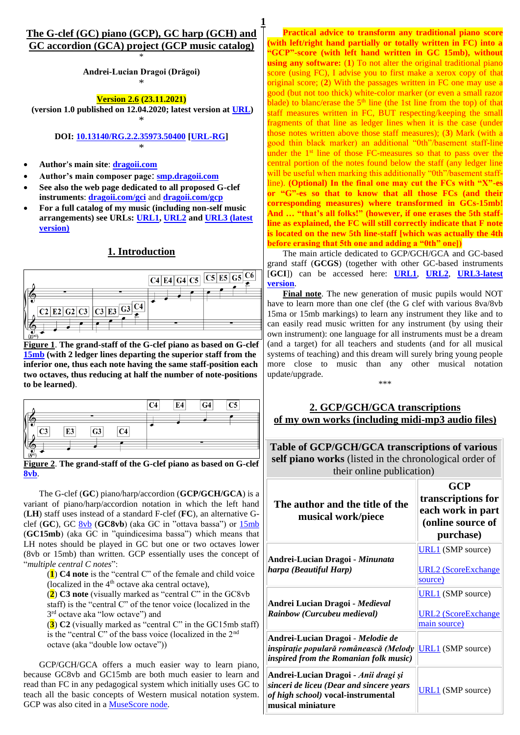## **The G-clef (GC) piano (GCP), GC harp (GCH) and GC accordion (GCA) project (GCP music catalog)** \*

**1**

**Andrei-Lucian Dragoi (Drăgoi)** \*

**Version 2.6 (23.11.2021)**

**(version 1.0 published on 12.04.2020; latest version at [URL\)](http://dragoii.com/gcp/DragoiAL_IndexGCP_latest.pdf)** \*

> **DOI: [10.13140/RG.2.2.35973.50400](http://doi.org/10.13140/RG.2.2.35973.50400) [\[URL-RG\]](https://www.researchgate.net/publication/340582322)** \*

- **Author's main site**: **[dragoii.com](http://www.dragoii.com/)**
- **Author's main composer page**: **[smp.dragoii.com](http://www.smp.dragoii.com/)**
- **See also the web page dedicated to all proposed G-clef instruments**: **[dragoii.com/gci](http://dragoii.com/gci)** and **[dragoii.com/gcp](http://www.dragoii.com/gcp)**
- **For a full catalog of my music (including non-self music arrangements) see URLs: [URL1,](https://www.researchgate.net/publication/328352315) [URL2](https://www.academia.edu/38013818) an[d URL3 \(latest](http://dragoii.com/ALDragoi_RG_music_catalog_latest.pdf)  [version\)](http://dragoii.com/ALDragoi_RG_music_catalog_latest.pdf)**

## **1. Introduction**



**Figure 1**. **The grand-staff of the G-clef piano as based on G-clef [15mb](https://en.wikipedia.org/wiki/Octave#Ottava_alta_and_bassa) (with 2 ledger lines departing the superior staff from the inferior one, thus each note having the same staff-position each two octaves, thus reducing at half the number of note-positions to be learned)**.

|               |    |                |                | C4 | E4 | G4 | C5 |
|---------------|----|----------------|----------------|----|----|----|----|
|               |    |                |                |    |    |    |    |
| C3            | E3 | G <sub>3</sub> | C <sub>4</sub> |    |    |    |    |
| $(S^{\nu b})$ |    |                |                |    |    |    |    |

**Figure 2**. **The grand-staff of the G-clef piano as based on G-clef [8vb](https://en.wikipedia.org/wiki/Octave#Ottava_alta_and_bassa)**.

The G-clef (**GC**) piano/harp/accordion (**GCP/GCH/GCA**) is a variant of piano/harp/accordion notation in which the left hand (**LH**) staff uses instead of a standard F-clef (**FC**), an alternative Gclef (**GC**), GC [8vb](https://en.wikipedia.org/wiki/Octave#Ottava_alta_and_bassa) (**GC8vb**) (aka GC in "ottava bassa") or [15mb](https://en.wikipedia.org/wiki/Octave#Ottava_alta_and_bassa) (**GC15mb**) (aka GC in "quindicesima bassa") which means that LH notes should be played in GC but one or two octaves lower (8vb or 15mb) than written. GCP essentially uses the concept of "*multiple central C notes*":

(**1**) **C4 note** is the "central C" of the female and child voice (localized in the  $4<sup>th</sup>$  octave aka central octave),

(**2**) **C3 note** (visually marked as "central C" in the GC8vb staff) is the "central C" of the tenor voice (localized in the 3 rd octave aka "low octave") and

(**3**) **C2** (visually marked as "central C" in the GC15mb staff) is the "central C" of the bass voice (localized in the 2nd octave (aka "double low octave"))

GCP/GCH/GCA offers a much easier way to learn piano, because GC8vb and GC15mb are both much easier to learn and read than FC in any pedagogical system which initially uses GC to teach all the basic concepts of Western musical notation system. GCP was also cited in a [MuseScore node.](https://musescore.org/en/node/312732)

**Practical advice to transform any traditional piano score (with left/right hand partially or totally written in FC) into a "GCP"-score (with left hand written in GC 15mb), without using any software:** (**1**) To not alter the original traditional piano score (using FC), I advise you to first make a xerox copy of that original score; (**2**) With the passages written in FC one may use a good (but not too thick) white-color marker (or even a small razor  $\overline{b}$ blade) to blanc/erase the 5<sup>th</sup> line (the 1st line from the top) of that staff measures written in FC, BUT respecting/keeping the small fragments of that line as ledger lines when it is the case (under those notes written above those staff measures); (**3**) Mark (with a good thin black marker) an additional "0th"/basement staff-line under the  $1<sup>st</sup>$  line of those FC-measures so that to pass over the central portion of the notes found below the staff (any ledger line will be useful when marking this additionally "0th"/basement staffline). **(Optional) In the final one may cut the FCs with "X"-es or "G"-es so that to know that all those FCs (and their corresponding measures) where transformed in GCs-15mb! And … "that's all folks!" (however, if one erases the 5th staffline as explained, the FC will still correctly indicate that F note is located on the new 5th line-staff [which was actually the 4th before erasing that 5th one and adding a "0th" one])**

The main article dedicated to GCP/GCH/GCA and GC-based grand staff (**GCGS**) (together with other GC-based instruments [**GCI**]) can be accessed here: **[URL1](https://www.researchgate.net/publication/335025363)**, **[URL2](https://www.academia.edu/40031254)**, **[URL3-latest](http://dragoii.com/ALDragoi_GCI_GCGS_latest.pdf)  [version](http://dragoii.com/ALDragoi_GCI_GCGS_latest.pdf)**.

**Final note**. The new generation of music pupils would NOT have to learn more than one clef (the G clef with various 8va/8vb 15ma or 15mb markings) to learn any instrument they like and to can easily read music written for any instrument (by using their own instrument): one language for all instruments must be a dream (and a target) for all teachers and students (and for all musical systems of teaching) and this dream will surely bring young people more close to music than any other musical notation update/upgrade.

\*\*\*

## **2. GCP/GCH/GCA transcriptions of my own works (including midi-mp3 audio files)**

**Table of GCP/GCH/GCA transcriptions of various self piano works** (listed in the chronological order of their online publication)

| The author and the title of the<br>musical work/piece                                                                                              | GCP<br>transcriptions for<br>each work in part<br>(online source of<br>purchase) |
|----------------------------------------------------------------------------------------------------------------------------------------------------|----------------------------------------------------------------------------------|
| Andrei-Lucian Dragoi - Minunata<br>harpa (Beautiful Harp)                                                                                          | $URL1$ (SMP source)<br><u>URL2 (ScoreExchange</u><br>source)                     |
| Andrei Lucian Dragoi - <i>Medieval</i><br>Rainbow (Curcubeu medieval)                                                                              | $URL1$ (SMP source)<br><u>URL2 (ScoreExchange</u><br>main source)                |
| Andrei-Lucian Dragoi - <i>Melodie de</i><br>inspirație populară românească (Melody<br><i>inspired from the Romanian folk music)</i>                | <b>URL1</b> (SMP source)                                                         |
| Andrei-Lucian Dragoi - <i>Anii dragi și</i><br>sinceri de liceu (Dear and sincere years<br>of high school) vocal-instrumental<br>musical miniature | <b>URL1</b> (SMP source)                                                         |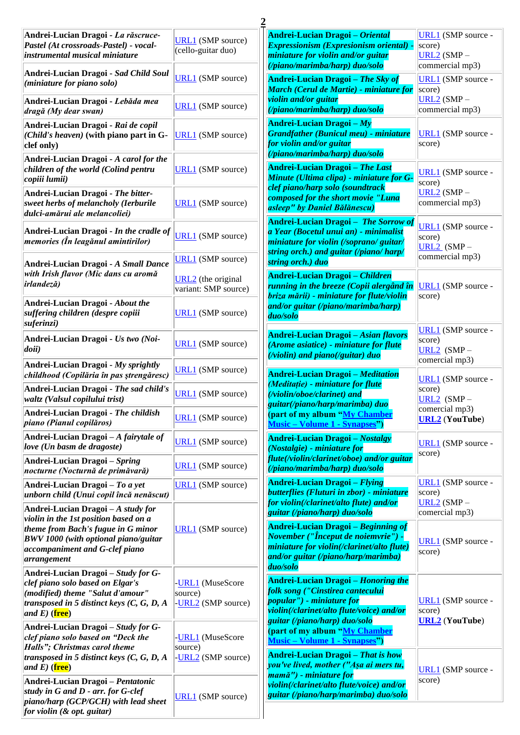| Andrei-Lucian Dragoi - La răscruce-<br>Pastel (At crossroads-Pastel) - vocal-<br>instrumental musical miniature                                                              | <b>URL1</b> (SMP source)<br>(cello-guitar duo)    | Andrei-Lucian Dragoi - Oriental<br>Expressionism (Expresionism oriental) -<br>miniature for violin and/or guitar                                                                           | <b>URL1</b> (SMP source -<br>score)<br>$URL2 (SMP -$         |
|------------------------------------------------------------------------------------------------------------------------------------------------------------------------------|---------------------------------------------------|--------------------------------------------------------------------------------------------------------------------------------------------------------------------------------------------|--------------------------------------------------------------|
| Andrei-Lucian Dragoi - Sad Child Soul<br>(miniature for piano solo)                                                                                                          | <b>URL1</b> (SMP source)                          | (/piano/marimba/harp) duo/solo<br>Andrei-Lucian Dragoi - The Sky of<br>March (Cerul de Martie) - miniature for                                                                             | commercial mp3)<br><b>URL1</b> (SMP source -<br>score)       |
| Andrei-Lucian Dragoi - Lebăda mea<br>dragă (My dear swan)                                                                                                                    | <b>URL1</b> (SMP source)                          | violin and/or guitar<br>(/piano/marimba/harp) duo/solo                                                                                                                                     | $URL2 (SMP -$<br>commercial mp3)                             |
| Andrei-Lucian Dragoi - Rai de copil<br>(Child's heaven) (with piano part in $G$ -<br>clef only)                                                                              | <b>URL1</b> (SMP source)                          | Andrei-Lucian Dragoi $-My$<br><b>Grandfather (Bunicul meu) - miniature</b><br>for violin and/or guitar<br>(/piano/marimba/harp) duo/solo                                                   | <b>URL1</b> (SMP source -<br>score)                          |
| Andrei-Lucian Dragoi - A carol for the<br>children of the world (Colind pentru<br>copiii lumii)                                                                              | <b>URL1</b> (SMP source)                          | <b>Andrei-Lucian Dragoi - The Last</b><br>Minute (Ultima clipa) - miniature for G-<br>clef piano/harp solo (soundtrack                                                                     | <b>URL1</b> (SMP source -<br>score)                          |
| Andrei-Lucian Dragoi - The bitter-<br>sweet herbs of melancholy (Ierburile<br>dulci-amărui ale melancoliei)                                                                  | <b>URL1</b> (SMP source)                          | composed for the short movie "Luna<br>asleep" by Daniel Bălănescu)                                                                                                                         | $URL2 (SMP -$<br>commercial mp3)                             |
| Andrei-Lucian Dragoi - In the cradle of<br>memories (În leagănul amintirilor)                                                                                                | <b>URL1</b> (SMP source)                          | <b>Andrei-Lucian Dragoi - The Sorrow of</b><br>a Year (Bocetul unui an) - minimalist<br>miniature for violin (/soprano/ guitar/<br>string orch.) and guitar (/piano/ harp/                 | <b>URL1</b> (SMP source -<br>score)<br>$URL2$ (SMP -         |
| Andrei-Lucian Dragoi - A Small Dance                                                                                                                                         | <b>URL1</b> (SMP source)                          | string orch.) duo                                                                                                                                                                          | commercial mp3)                                              |
| with Irish flavor (Mic dans cu aromă<br><i>irlandeză</i> )                                                                                                                   | <b>URL2</b> (the original<br>variant: SMP source) | <b>Andrei-Lucian Dragoi – Children</b><br>running in the breeze (Copii alergând în<br>briza mării) - miniature for flute/violin                                                            | URL1 (SMP source -<br>score)                                 |
| Andrei-Lucian Dragoi - About the<br>suffering children (despre copiii<br>suferinzi)                                                                                          | <b>URL1</b> (SMP source)                          | and/or guitar (/piano/marimba/harp)<br>duo/solo                                                                                                                                            | <b>URL1</b> (SMP source -                                    |
| Andrei-Lucian Dragoi - Us two (Noi-<br>doii)                                                                                                                                 | <b>URL1</b> (SMP source)                          | <b>Andrei-Lucian Dragoi – Asian flavors</b><br>(Arome asiatice) - miniature for flute<br>( <i>violin</i> ) and piano(/guitar) duo                                                          | score)<br>URL2 $(SMP -$<br>comercial mp3)                    |
| Andrei-Lucian Dragoi - My sprightly<br>childhood (Copilăria în pas ștrengăresc)                                                                                              | <b>URL1</b> (SMP source)                          | <b>Andrei-Lucian Dragoi – Meditation</b>                                                                                                                                                   |                                                              |
| Andrei-Lucian Dragoi - The sad child's<br>waltz (Valsul copilului trist)                                                                                                     | <b>URL1</b> (SMP source)                          | (Meditație) - miniature for flute<br>(/violin/oboe/clarinet) and<br>guitar(/piano/harp/marimba) duo                                                                                        | <b>URL1</b> (SMP source -<br>score)<br>URL2 $(SMP -$         |
| Andrei-Lucian Dragoi - The childish<br>piano (Pianul copilăros)                                                                                                              | <b>URL1</b> (SMP source)                          | (part of my album "My Chamber<br><b>Music – Volume 1 - Synapses"</b> )                                                                                                                     | comercial mp3)<br><b>URL2</b> (YouTube)                      |
| Andrei-Lucian Dragoi $-A$ fairytale of<br>love (Un basm de dragoste)                                                                                                         | <b>URL1</b> (SMP source)                          | <b>Andrei-Lucian Dragoi - Nostalgy</b><br>(Nostalgie) - miniature for                                                                                                                      | <b>URL1</b> (SMP source -<br>score)                          |
| Andrei-Lucian Dragoi – Spring<br>nocturne (Nocturnă de primăvară)                                                                                                            | <b>URL1</b> (SMP source)                          | flute(/violin/clarinet/oboe) and/or guitar<br>(/piano/marimba/harp) duo/solo                                                                                                               |                                                              |
| Andrei-Lucian Dragoi – To a yet<br>unborn child (Unui copil încă nenăscut)                                                                                                   | <b>URL1</b> (SMP source)                          | <b>Andrei-Lucian Dragoi</b> - Flying<br>butterflies (Fluturi in zbor) - miniature<br>for violin(/clarinet/alto flute) and/or                                                               | URL1 (SMP source -<br>score)<br>URL2 $(SMP -$                |
| Andrei-Lucian Dragoi $-A$ study for<br>violin in the 1st position based on a                                                                                                 |                                                   | guitar (/piano/harp) duo/solo                                                                                                                                                              | comercial mp3)                                               |
| theme from Bach's fugue in G minor<br>BWV 1000 (with optional piano/guitar<br>accompaniment and G-clef piano<br>arrangement                                                  | <b>URL1</b> (SMP source)                          | <b>Andrei-Lucian Dragoi – Beginning of</b><br><i>November ("Început de noiemvrie")</i> -<br>miniature for violin(/clarinet/alto flute)<br>and/or guitar (/piano/harp/marimba)<br>duo/solo  | <b>URL1</b> (SMP source -<br>score)                          |
| Andrei-Lucian Dragoi – Study for G-<br>clef piano solo based on Elgar's<br>(modified) theme "Salut d'amour"<br>transposed in 5 distinct keys $(C, G, D, A)$<br>and E) (free) | -URL1 (MuseScore<br>source)<br>-URL2 (SMP source) | <b>Andrei-Lucian Dragoi - Honoring the</b><br>folk song ("Cinstirea cantecului<br>popular'') - miniature for<br>violin(/clarinet/alto flute/voice) and/or<br>guitar (/piano/harp) duo/solo | <b>URL1</b> (SMP source -<br>score)<br><b>URL2</b> (YouTube) |
| Andrei-Lucian Dragoi - Study for G-<br>clef piano solo based on "Deck the<br>Halls"; Christmas carol theme<br>transposed in 5 distinct keys $(C, G, D, A)$<br>and E) (free)  | -URL1 (MuseScore<br>source)<br>-URL2 (SMP source) | (part of my album "My Chamber<br><b>Music – Volume 1 - Synapses"</b> )<br><b>Andrei-Lucian Dragoi – That is how</b><br>you've lived, mother ("Aşa ai mers tu,                              | <b>URL1</b> (SMP source -                                    |
| Andrei-Lucian Dragoi - Pentatonic<br>study in G and D - arr. for G-clef<br>piano/harp (GCP/GCH) with lead sheet<br>for violin $(x$ opt. guitar)                              | <b>URL1</b> (SMP source)                          | mamă") - miniature for<br>violin(/clarinet/alto flute/voice) and/or<br>guitar (/piano/harp/marimba) duo/solo                                                                               | score)                                                       |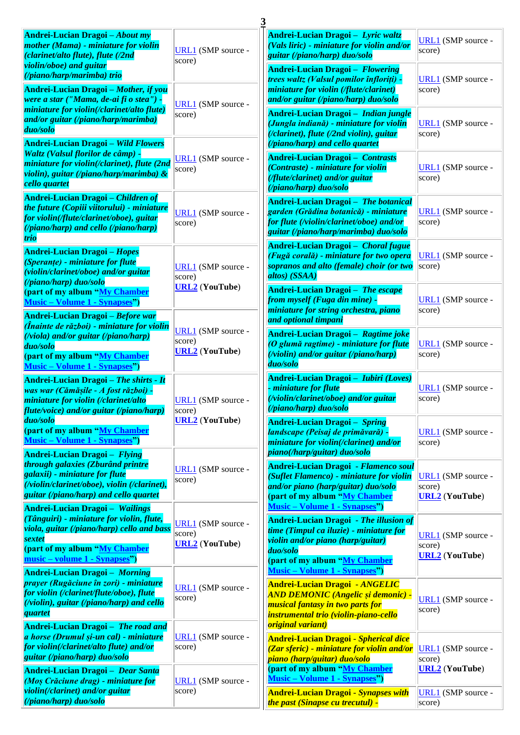| Andrei-Lucian Dragoi - About my<br>mother (Mama) - miniature for violin<br>(clarinet/alto flute), flute (/2nd                                                                                                                | <b>URL1</b> (SMP source -<br>score)                                                                                                                                         | Andrei-Lucian Dragoi - Lyric waltz<br>(Vals liric) - miniature for violin and/or<br>guitar (/piano/harp) duo/solo                                                                                                  | <b>URL1</b> (SMP source -<br>score)                          |
|------------------------------------------------------------------------------------------------------------------------------------------------------------------------------------------------------------------------------|-----------------------------------------------------------------------------------------------------------------------------------------------------------------------------|--------------------------------------------------------------------------------------------------------------------------------------------------------------------------------------------------------------------|--------------------------------------------------------------|
| violin/oboe) and guitar<br>(/piano/harp/marimba) trio<br>Andrei-Lucian Dragoi - Mother, if you                                                                                                                               |                                                                                                                                                                             | Andrei-Lucian Dragoi - Flowering<br>trees waltz (Valsul pomilor înfloriți) -<br>miniature for violin (/flute/clarinet)                                                                                             | URL1 (SMP source -<br>score)                                 |
| were a star ("Mama, de-ai fi o stea") -<br>miniature for violin(/clarinet/alto flute)<br>and/or guitar (/piano/harp/marimba)<br>duo/solo                                                                                     | URL1 (SMP source -<br>score)                                                                                                                                                | and/or guitar (/piano/harp) duo/solo<br>Andrei-Lucian Dragoi - Indian jungle<br>(Jungla indiană) - miniature for violin<br>(/clarinet), flute (/2nd violin), guitar                                                | <b>URL1</b> (SMP source -<br>score)                          |
| <b>Andrei-Lucian Dragoi - Wild Flowers</b><br><b>Waltz (Valsul florilor de câmp) -</b><br>miniature for violin(/clarinet), flute (2nd<br>violin), guitar (/piano/harp/marimba) &<br>cello quartet                            | URL1 (SMP source -<br>score)                                                                                                                                                | (/piano/harp) and cello quartet<br><b>Andrei-Lucian Dragoi - Contrasts</b><br>(Contraste) - miniature for violin<br>(/flute/clarinet) and/or guitar<br>(/piano/harp) duo/solo                                      | <b>URL1</b> (SMP source -<br>score)                          |
| Andrei-Lucian Dragoi – Children of<br>the future (Copiii viitorului) - miniature<br>for violin(/flute/clarinet/oboe), guitar<br>(/piano/harp) and cello (/piano/harp)<br><b>trio</b>                                         | <b>URL1</b> (SMP source -<br>score)                                                                                                                                         | Andrei-Lucian Dragoi - The botanical<br>garden (Grădina botanică) - miniature<br>for flute (/violin/clarinet/oboe) and/or<br>guitar (/piano/harp/marimba) duo/solo                                                 | URL1 (SMP source -<br>score)                                 |
| <b>Andrei-Lucian Dragoi - Hopes</b><br>(Speranțe) - miniature for flute<br>(violin/clarinet/oboe) and/or guitar                                                                                                              | Andrei-Lucian Dragoi - Choral fugue<br>(Fugă corală) - miniature for two opera<br>sopranos and alto (female) choir (or two<br>URL1 (SMP source -<br>altos) (SSAA)<br>score) |                                                                                                                                                                                                                    | URL1 (SMP source -<br>score)                                 |
| (/piano/harp) duo/solo<br>(part of my album "My Chamber<br><b>Music – Volume 1 - Synapses"</b> )<br>Andrei-Lucian Dragoi - Before war                                                                                        | <b>URL2</b> (YouTube)                                                                                                                                                       | Andrei-Lucian Dragoi - The escape<br>from myself (Fuga din mine) -<br>miniature for string orchestra, piano<br>and optional timpani                                                                                | <b>URL1</b> (SMP source -<br>score)                          |
| <i>(Înainte de război) - miniature for violin</i><br>$(viola)$ and/or guitar (/piano/harp)<br>duo/solo<br>(part of my album "My Chamber<br><b>Music – Volume 1 - Synapses</b> ")                                             | <b>URL1</b> (SMP source -<br>score)<br><b>URL2</b> (YouTube)                                                                                                                | Andrei-Lucian Dragoi - Ragtime joke<br>(O glumă ragtime) - miniature for flute<br>(/violin) and/or guitar (/piano/harp)<br>duo/solo                                                                                | <b>URL1</b> (SMP source -<br>score)                          |
| <b>Andrei-Lucian Dragoi - The shirts - It</b><br>was war (Cămăşile - A fost război) -<br>miniature for violin (/clarinet/alto<br>flute/voice) and/or guitar (/piano/harp)                                                    | <b>URL1</b> (SMP source -<br>score)<br><b>URL2</b> (YouTube)                                                                                                                | Andrei-Lucian Dragoi - <i>Iubiri (Loves)</i><br><i>miniature for flute</i><br>(/violin/clarinet/oboe) and/or guitar<br>(/piano/harp) duo/solo                                                                      | URL1 (SMP source -<br>score)                                 |
| duo/solo<br>(part of my album "My Chamber<br><b>Music – Volume 1 - Synapses"</b> )<br>Andrei-Lucian Dragoi - Flying                                                                                                          |                                                                                                                                                                             | Andrei-Lucian Dragoi - Spring<br>landscape (Peisaj de primăvară) -<br>miniature for violin(/clarinet) and/or<br>piano(/harp/guitar) duo/solo                                                                       | URL1 (SMP source -<br>score)                                 |
| through galaxies (Zburând printre<br>galaxii) - miniature for flute<br>(/violin/clarinet/oboe), violin (/clarinet),<br>guitar (/piano/harp) and cello quartet<br><b>Andrei-Lucian Dragoi - Wailings</b>                      | URL1 (SMP source -<br>score)                                                                                                                                                | <b>Andrei-Lucian Dragoi - Flamenco soul</b><br>(Suflet Flamenco) - miniature for violin<br>and/or piano (harp/guitar) duo/solo<br>(part of my album "My Chamber<br><b>Music – Volume 1 - Synapses"</b> )           | <b>URL1</b> (SMP source -<br>score)<br><b>URL2</b> (YouTube) |
| (Tânguiri) - miniature for violin, flute,<br>viola, guitar (/piano/harp) cello and bass<br><b>sextet</b><br>(part of my album "My Chamber<br>music – volume 1 - Synapses")                                                   | <b>URL1</b> (SMP source -<br>score)<br><b>URL2</b> (YouTube)                                                                                                                | <b>Andrei-Lucian Dragoi - The illusion of</b><br>time (Timpul ca iluzie) - miniature for<br>violin and/or piano (harp/guitar)<br>duo/solo<br>(part of my album "My Chamber<br><b>Music – Volume 1 - Synapses")</b> | <b>URL1</b> (SMP source -<br>score)<br><b>URL2</b> (YouTube) |
| <b>Andrei-Lucian Dragoi - Morning</b><br>prayer (Rugăciune în zori) - miniature<br>for violin (/clarinet/flute/oboe), flute<br>$(violin)$ , guitar (/piano/harp) and cello<br>quartet<br>Andrei-Lucian Dragoi - The road and | <b>URL1</b> (SMP source -<br>score)                                                                                                                                         | <b>Andrei-Lucian Dragoi - ANGELIC</b><br><b>AND DEMONIC (Angelic și demonic) -</b><br>musical fantasy in two parts for<br>instrumental trio (violin-piano-cello<br><b><i><u>original variant)</u></i></b>          | <b>URL1</b> (SMP source -<br>score)                          |
| a horse (Drumul și-un cal) - miniature<br>for violin(/clarinet/alto flute) and/or<br>guitar (/piano/harp) duo/solo<br><b>Andrei-Lucian Dragoi - Dear Santa</b>                                                               | <b>URL1</b> (SMP source -<br>score)                                                                                                                                         | <b>Andrei-Lucian Dragoi - Spherical dice</b><br>(Zar sferic) - miniature for violin and/or<br><mark>piano (harp/guitar) duo/solo</mark><br>(part of my album "My Chamber                                           | <b>URL1</b> (SMP source -<br>score)<br><b>URL2</b> (YouTube) |
| (Moș Crăciune drag) - miniature for<br>violin(/clarinet) and/or guitar<br>(/piano/harp) duo/solo                                                                                                                             | URL1 (SMP source -<br>score)                                                                                                                                                | <b>Music – Volume 1 - Synapses"</b> )<br><b>Andrei-Lucian Dragoi - Synapses with</b><br><mark>the past (Sinapse cu trecutul) -</mark>                                                                              | <b>URL1</b> (SMP source -<br>score)                          |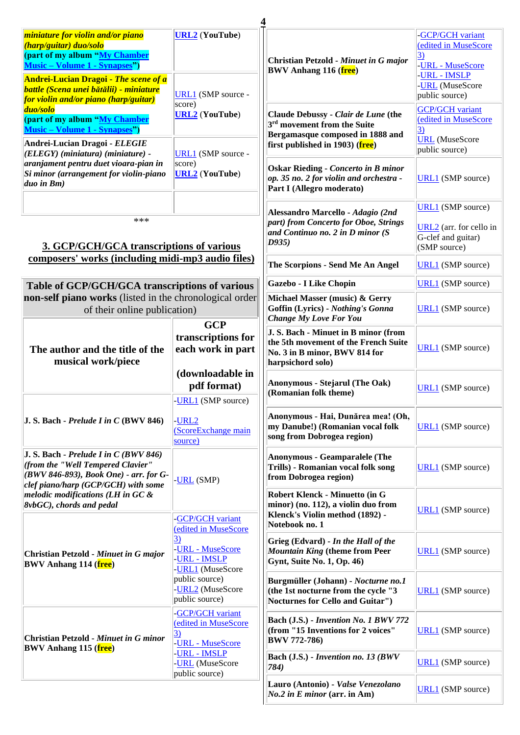| miniature for violin and/or piano<br>(harp/guitar) duo/solo<br>(part of my album "My Chamber<br><b>Music – Volume 1 - Synapses"</b> )                                   | <b>URL2</b> (YouTube)                                                                                                          | <b>Christian Petzold - Minuet in G major</b><br><b>BWV Anhang 116 (free)</b>                                                                         | -GCP/GCH variant<br>(edited in MuseScore<br>$\vert 3)$<br>-URL - MuseScore                |
|-------------------------------------------------------------------------------------------------------------------------------------------------------------------------|--------------------------------------------------------------------------------------------------------------------------------|------------------------------------------------------------------------------------------------------------------------------------------------------|-------------------------------------------------------------------------------------------|
| <b>Andrei-Lucian Dragoi - The scene of a</b><br><b>battle (Scena unei bătălii) - miniature</b><br>for violin and/or piano (harp/guitar)                                 | URL1 (SMP source -<br>score)                                                                                                   |                                                                                                                                                      | -URL - IMSLP<br>-URL (MuseScore<br>public source)                                         |
| duo/solo<br>(part of my album "My Chamber<br><b>Music – Volume 1 - Synapses"</b> )                                                                                      | <b>URL2</b> (YouTube)                                                                                                          | Claude Debussy - Clair de Lune (the<br>3 <sup>rd</sup> movement from the Suite<br>Bergamasque composed in 1888 and                                   | <b>GCP/GCH</b> variant<br>(edited in MuseScore<br>$\overline{3}$<br><b>URL</b> (MuseScore |
| Andrei-Lucian Dragoi - ELEGIE<br>(ELEGY) (miniatura) (miniature) -<br>aranjament pentru duet vioara-pian in<br>Si minor (arrangement for violin-piano<br>$duo$ in $Bm)$ | URL1 (SMP source -<br>score)<br><b>URL2</b> (YouTube)                                                                          | first published in 1903) (free)<br><b>Oskar Rieding - Concerto in B minor</b><br>$op. 35$ no. 2 for violin and orchestra -                           | public source)<br><b>URL1</b> (SMP source)                                                |
| ***<br>3. GCP/GCH/GCA transcriptions of various                                                                                                                         |                                                                                                                                | Part I (Allegro moderato)<br>Alessandro Marcello - Adagio (2nd<br>part) from Concerto for Oboe, Strings<br>and Continuo no. 2 in D minor (S<br>D935) | <b>URL1</b> (SMP source)<br>URL2 (arr. for cello in<br>G-clef and guitar)<br>(SMP source) |
| composers' works (including midi-mp3 audio files)                                                                                                                       |                                                                                                                                | The Scorpions - Send Me An Angel                                                                                                                     | <b>URL1</b> (SMP source)                                                                  |
| Table of GCP/GCH/GCA transcriptions of various                                                                                                                          |                                                                                                                                | Gazebo - I Like Chopin                                                                                                                               | <b>URL1</b> (SMP source)                                                                  |
| non-self piano works (listed in the chronological order<br>of their online publication)                                                                                 |                                                                                                                                | Michael Masser (music) & Gerry<br>Goffin (Lyrics) - Nothing's Gonna<br><b>Change My Love For You</b>                                                 | <b>URL1</b> (SMP source)                                                                  |
| The author and the title of the<br>musical work/piece                                                                                                                   | <b>GCP</b><br>transcriptions for<br>each work in part                                                                          | J. S. Bach - Minuet in B minor (from<br>the 5th movement of the French Suite<br>No. 3 in B minor, BWV 814 for<br>harpsichord solo)                   | <b>URL1</b> (SMP source)                                                                  |
|                                                                                                                                                                         | (downloadable in<br>pdf format)<br>-URL1 (SMP source)                                                                          | Anonymous - Stejarul (The Oak)<br>(Romanian folk theme)                                                                                              | <b>URL1</b> (SMP source)                                                                  |
| $J.S.$ Bach - Prelude I in C (BWV 846)                                                                                                                                  | URL <sub>2</sub><br>(ScoreExchange main<br>source)                                                                             | Anonymous - Hai, Dunărea mea! (Oh,<br>my Danube!) (Romanian vocal folk<br>song from Dobrogea region)                                                 | <b>URL1</b> (SMP source)                                                                  |
| J. S. Bach - Prelude I in $C(BWV 846)$<br>(from the "Well Tempered Clavier"<br>(BWV 846-893), Book One) - arr. for G-<br>clef piano/harp (GCP/GCH) with some            | -URL (SMP)                                                                                                                     | <b>Anonymous - Geamparalele (The</b><br>Trills) - Romanian vocal folk song<br>from Dobrogea region)                                                  | <b>URL1</b> (SMP source)                                                                  |
| melodic modifications (LH in GC &<br>8vbGC), chords and pedal                                                                                                           | <b>GCP/GCH</b> variant<br>edited in MuseScore                                                                                  | Robert Klenck - Minuetto (in G<br>minor) (no. 112), a violin duo from<br>Klenck's Violin method (1892) -<br>Notebook no. 1                           | <b>URL1</b> (SMP source)                                                                  |
| <b>Christian Petzold - Minuet in G major</b><br><b>BWV Anhang 114 (free)</b>                                                                                            | 3)<br><b>URL</b> - MuseScore<br><b>URL - IMSLP</b><br>-URL1 (MuseScore<br>public source)<br>-URL2 (MuseScore<br>public source) | Grieg (Edvard) - In the Hall of the<br><b>Mountain King (theme from Peer</b><br>Gynt, Suite No. 1, Op. 46)                                           | <b>URL1</b> (SMP source)                                                                  |
|                                                                                                                                                                         |                                                                                                                                | Burgmüller (Johann) - Nocturne no.1<br>(the 1st nocturne from the cycle "3<br>Nocturnes for Cello and Guitar")                                       | <b>URL1</b> (SMP source)                                                                  |
| <b>Christian Petzold - Minuet in G minor</b><br><b>BWV Anhang 115 (free)</b>                                                                                            | -GCP/GCH variant<br>(edited in MuseScore<br>3)<br>-URL - MuseScore                                                             | Bach (J.S.) - Invention No. 1 BWV 772<br>(from "15 Inventions for 2 voices"<br><b>BWV 772-786)</b>                                                   | <b>URL1</b> (SMP source)                                                                  |
|                                                                                                                                                                         | <b>URL - IMSLP</b><br>-URL (MuseScore<br>public source)                                                                        | Bach (J.S.) - Invention no. 13 (BWV<br>784)                                                                                                          | <b>URL1</b> (SMP source)                                                                  |
|                                                                                                                                                                         |                                                                                                                                | Lauro (Antonio) - Valse Venezolano<br>$No.2$ in E minor (arr. in Am)                                                                                 | <b>URL1</b> (SMP source)                                                                  |